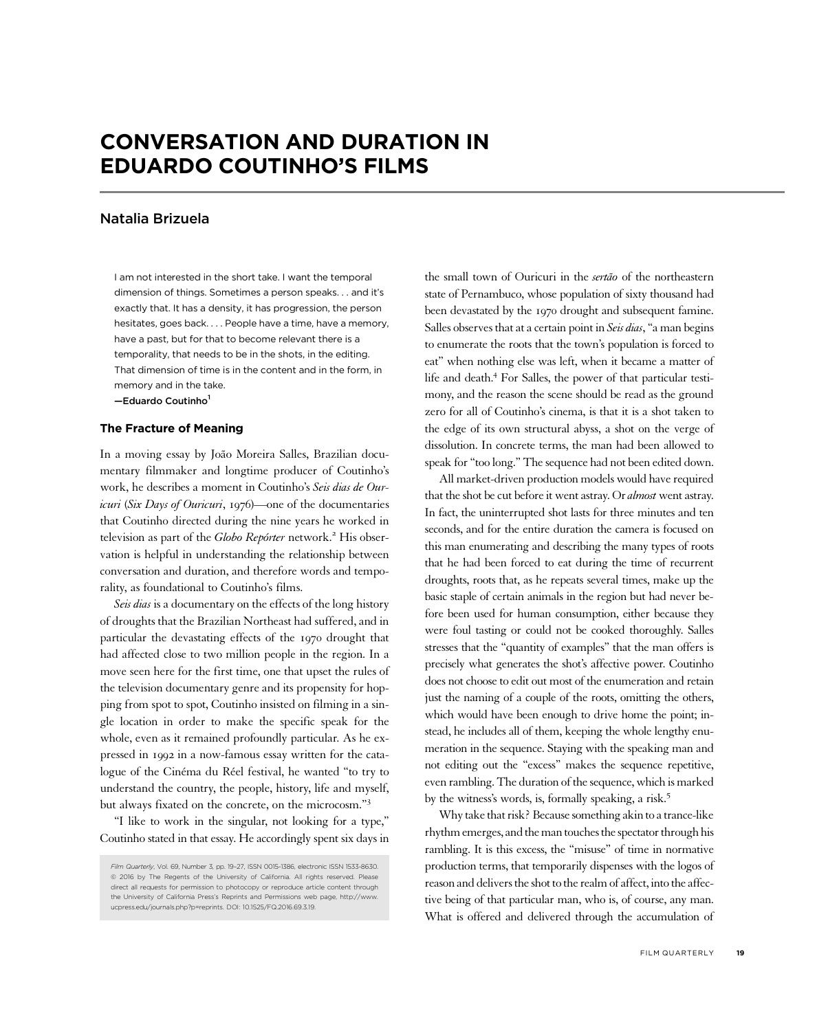# CONVERSATION AND DURATION IN EDUARDO COUTINHO'S FILMS

## Natalia Brizuela

I am not interested in the short take. I want the temporal dimension of things. Sometimes a person speaks. . . and it's exactly that. It has a density, it has progression, the person hesitates, goes back. . . . People have a time, have a memory, have a past, but for that to become relevant there is a temporality, that needs to be in the shots, in the editing. That dimension of time is in the content and in the form, in memory and in the take. -Eduardo Coutinho<sup>1</sup>

### The Fracture of Meaning

In a moving essay by João Moreira Salles, Brazilian documentary filmmaker and longtime producer of Coutinho's work, he describes a moment in Coutinho's Seis dias de Ouricuri (Six Days of Ouricuri, 1976)—one of the documentaries that Coutinho directed during the nine years he worked in television as part of the Globo Repórter network.<sup>2</sup> His observation is helpful in understanding the relationship between conversation and duration, and therefore words and temporality, as foundational to Coutinho's films.

Seis dias is a documentary on the effects of the long history of droughts that the Brazilian Northeast had suffered, and in particular the devastating effects of the 1970 drought that had affected close to two million people in the region. In a move seen here for the first time, one that upset the rules of the television documentary genre and its propensity for hopping from spot to spot, Coutinho insisted on filming in a single location in order to make the specific speak for the whole, even as it remained profoundly particular. As he expressed in 1992 in a now-famous essay written for the catalogue of the Cinéma du Réel festival, he wanted "to try to understand the country, the people, history, life and myself, but always fixated on the concrete, on the microcosm." 3

"I like to work in the singular, not looking for a type," Coutinho stated in that essay. He accordingly spent six days in the small town of Ouricuri in the sertão of the northeastern state of Pernambuco, whose population of sixty thousand had been devastated by the 1970 drought and subsequent famine. Salles observes that at a certain point in Seis dias, "a man begins to enumerate the roots that the town's population is forced to eat" when nothing else was left, when it became a matter of life and death.<sup>4</sup> For Salles, the power of that particular testimony, and the reason the scene should be read as the ground zero for all of Coutinho's cinema, is that it is a shot taken to the edge of its own structural abyss, a shot on the verge of dissolution. In concrete terms, the man had been allowed to speak for "too long."The sequence had not been edited down.

All market-driven production models would have required that the shot be cut before it went astray. Or almost went astray. In fact, the uninterrupted shot lasts for three minutes and ten seconds, and for the entire duration the camera is focused on this man enumerating and describing the many types of roots that he had been forced to eat during the time of recurrent droughts, roots that, as he repeats several times, make up the basic staple of certain animals in the region but had never before been used for human consumption, either because they were foul tasting or could not be cooked thoroughly. Salles stresses that the "quantity of examples" that the man offers is precisely what generates the shot's affective power. Coutinho does not choose to edit out most of the enumeration and retain just the naming of a couple of the roots, omitting the others, which would have been enough to drive home the point; instead, he includes all of them, keeping the whole lengthy enumeration in the sequence. Staying with the speaking man and not editing out the "excess" makes the sequence repetitive, even rambling. The duration of the sequence, which is marked by the witness's words, is, formally speaking, a risk.<sup>5</sup>

Why take that risk? Because something akin to a trance-like rhythm emerges, and the man touches the spectator through his rambling. It is this excess, the "misuse" of time in normative production terms, that temporarily dispenses with the logos of reason and delivers the shot to the realm of affect, into the affective being of that particular man, who is, of course, any man. What is offered and delivered through the accumulation of

Film Quarterly, Vol. 69, Number 3, pp. 19–27, ISSN 0015-1386, electronic ISSN 1533-8630. © 2016 by The Regents of the University of California. All rights reserved. Please direct all requests for permission to photocopy or reproduce article content through the University of California Press's Reprints and Permissions web page, http://www. ucpress.edu/journals.php?p=reprints. DOI: 10.1525/FQ.2016.69.3.19.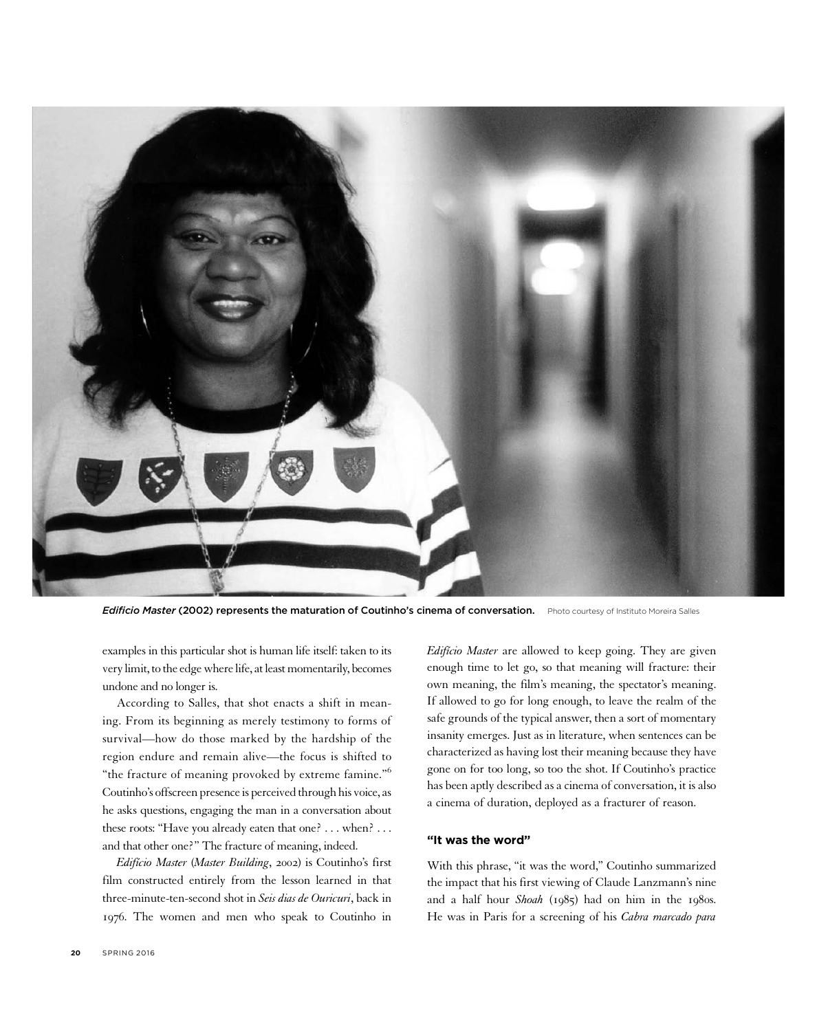

Edificio Master (2002) represents the maturation of Coutinho's cinema of conversation. Photo courtesy of Instituto Moreira Salles

examples in this particular shot is human life itself: taken to its very limit, to the edge where life, at least momentarily, becomes undone and no longer is.

According to Salles, that shot enacts a shift in meaning. From its beginning as merely testimony to forms of survival—how do those marked by the hardship of the region endure and remain alive—the focus is shifted to "the fracture of meaning provoked by extreme famine."<sup>6</sup> Coutinho's offscreen presence is perceived through his voice, as he asks questions, engaging the man in a conversation about these roots: "Have you already eaten that one? . . . when? . . . and that other one?" The fracture of meaning, indeed.

Edifício Master (Master Building, 2002) is Coutinho's first film constructed entirely from the lesson learned in that three-minute-ten-second shot in Seis dias de Ouricuri, back in 1976. The women and men who speak to Coutinho in

Edifício Master are allowed to keep going. They are given enough time to let go, so that meaning will fracture: their own meaning, the film's meaning, the spectator's meaning. If allowed to go for long enough, to leave the realm of the safe grounds of the typical answer, then a sort of momentary insanity emerges. Just as in literature, when sentences can be characterized as having lost their meaning because they have gone on for too long, so too the shot. If Coutinho's practice has been aptly described as a cinema of conversation, it is also a cinema of duration, deployed as a fracturer of reason.

## "It was the word"

With this phrase, "it was the word," Coutinho summarized the impact that his first viewing of Claude Lanzmann's nine and a half hour Shoah (1985) had on him in the 1980s. He was in Paris for a screening of his Cabra marcado para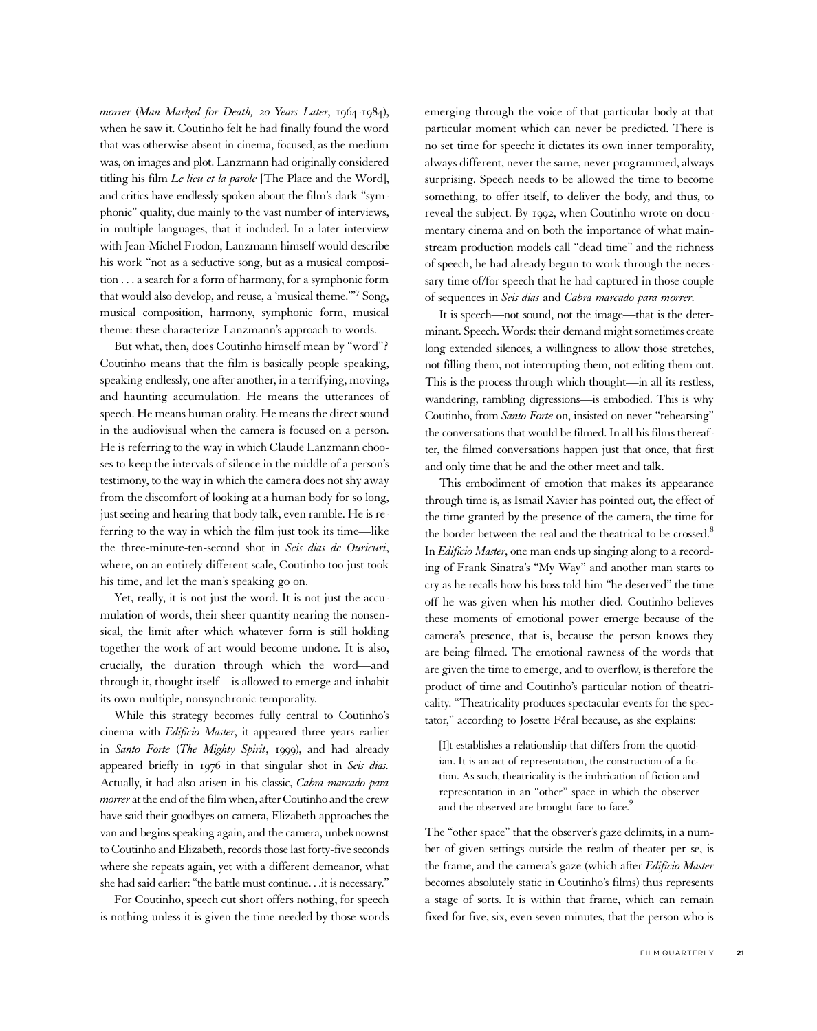morrer (Man Marked for Death, 20 Years Later, 1964-1984), when he saw it. Coutinho felt he had finally found the word that was otherwise absent in cinema, focused, as the medium was, on images and plot. Lanzmann had originally considered titling his film Le lieu et la parole [The Place and the Word], and critics have endlessly spoken about the film's dark "symphonic" quality, due mainly to the vast number of interviews, in multiple languages, that it included. In a later interview with Jean-Michel Frodon, Lanzmann himself would describe his work "not as a seductive song, but as a musical composition . . . a search for a form of harmony, for a symphonic form that would also develop, and reuse, a 'musical theme.'"<sup>7</sup> Song, musical composition, harmony, symphonic form, musical theme: these characterize Lanzmann's approach to words.

But what, then, does Coutinho himself mean by "word"? Coutinho means that the film is basically people speaking, speaking endlessly, one after another, in a terrifying, moving, and haunting accumulation. He means the utterances of speech. He means human orality. He means the direct sound in the audiovisual when the camera is focused on a person. He is referring to the way in which Claude Lanzmann chooses to keep the intervals of silence in the middle of a person's testimony, to the way in which the camera does not shy away from the discomfort of looking at a human body for so long, just seeing and hearing that body talk, even ramble. He is referring to the way in which the film just took its time—like the three-minute-ten-second shot in Seis dias de Ouricuri, where, on an entirely different scale, Coutinho too just took his time, and let the man's speaking go on.

Yet, really, it is not just the word. It is not just the accumulation of words, their sheer quantity nearing the nonsensical, the limit after which whatever form is still holding together the work of art would become undone. It is also, crucially, the duration through which the word—and through it, thought itself—is allowed to emerge and inhabit its own multiple, nonsynchronic temporality.

While this strategy becomes fully central to Coutinho's cinema with Edifício Master, it appeared three years earlier in Santo Forte (The Mighty Spirit, 1999), and had already appeared briefly in 1976 in that singular shot in Seis dias. Actually, it had also arisen in his classic, Cabra marcado para morrer at the end of the film when, after Coutinho and the crew have said their goodbyes on camera, Elizabeth approaches the van and begins speaking again, and the camera, unbeknownst to Coutinho and Elizabeth, records those last forty-five seconds where she repeats again, yet with a different demeanor, what she had said earlier: "the battle must continue. . .it is necessary."

For Coutinho, speech cut short offers nothing, for speech is nothing unless it is given the time needed by those words emerging through the voice of that particular body at that particular moment which can never be predicted. There is no set time for speech: it dictates its own inner temporality, always different, never the same, never programmed, always surprising. Speech needs to be allowed the time to become something, to offer itself, to deliver the body, and thus, to reveal the subject. By 1992, when Coutinho wrote on documentary cinema and on both the importance of what mainstream production models call "dead time" and the richness of speech, he had already begun to work through the necessary time of/for speech that he had captured in those couple of sequences in Seis dias and Cabra marcado para morrer.

It is speech—not sound, not the image—that is the determinant. Speech. Words: their demand might sometimes create long extended silences, a willingness to allow those stretches, not filling them, not interrupting them, not editing them out. This is the process through which thought—in all its restless, wandering, rambling digressions—is embodied. This is why Coutinho, from Santo Forte on, insisted on never "rehearsing" the conversations that would be filmed. In all his films thereafter, the filmed conversations happen just that once, that first and only time that he and the other meet and talk.

This embodiment of emotion that makes its appearance through time is, as Ismail Xavier has pointed out, the effect of the time granted by the presence of the camera, the time for the border between the real and the theatrical to be crossed.<sup>8</sup> In Edifício Master, one man ends up singing along to a recording of Frank Sinatra's "My Way" and another man starts to cry as he recalls how his boss told him "he deserved" the time off he was given when his mother died. Coutinho believes these moments of emotional power emerge because of the camera's presence, that is, because the person knows they are being filmed. The emotional rawness of the words that are given the time to emerge, and to overflow, is therefore the product of time and Coutinho's particular notion of theatricality. "Theatricality produces spectacular events for the spectator," according to Josette Féral because, as she explains:

[I]t establishes a relationship that differs from the quotidian. It is an act of representation, the construction of a fiction. As such, theatricality is the imbrication of fiction and representation in an "other" space in which the observer and the observed are brought face to face.<sup>9</sup>

The "other space" that the observer's gaze delimits, in a number of given settings outside the realm of theater per se, is the frame, and the camera's gaze (which after Edifício Master becomes absolutely static in Coutinho's films) thus represents a stage of sorts. It is within that frame, which can remain fixed for five, six, even seven minutes, that the person who is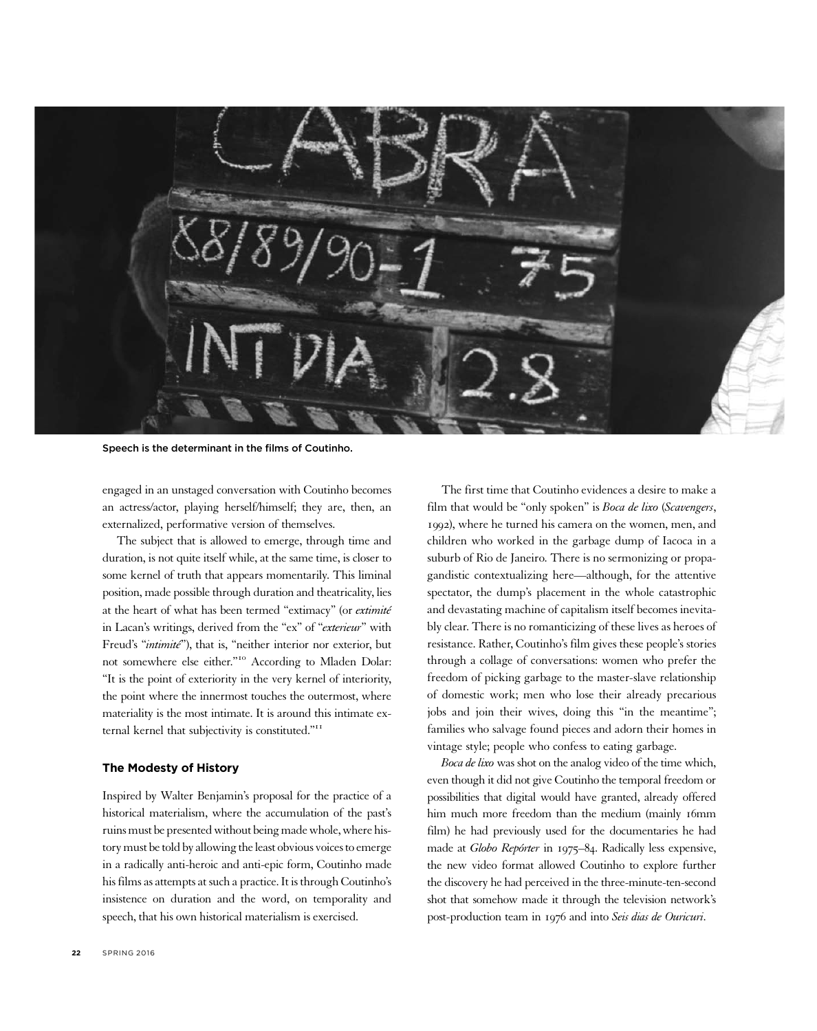

Speech is the determinant in the films of Coutinho.

engaged in an unstaged conversation with Coutinho becomes an actress/actor, playing herself/himself; they are, then, an externalized, performative version of themselves.

The subject that is allowed to emerge, through time and duration, is not quite itself while, at the same time, is closer to some kernel of truth that appears momentarily. This liminal position, made possible through duration and theatricality, lies at the heart of what has been termed "extimacy" (or extimité in Lacan's writings, derived from the "ex" of "exterieur" with Freud's "*intimité*"), that is, "neither interior nor exterior, but not somewhere else either." <sup>10</sup> According to Mladen Dolar: "It is the point of exteriority in the very kernel of interiority, the point where the innermost touches the outermost, where materiality is the most intimate. It is around this intimate external kernel that subjectivity is constituted."<sup>11</sup>

## The Modesty of History

Inspired by Walter Benjamin's proposal for the practice of a historical materialism, where the accumulation of the past's ruins must be presented without being made whole, where history must be told by allowing the least obvious voices to emerge in a radically anti-heroic and anti-epic form, Coutinho made his films as attempts at such a practice. It is through Coutinho's insistence on duration and the word, on temporality and speech, that his own historical materialism is exercised.

The first time that Coutinho evidences a desire to make a film that would be "only spoken" is Boca de lixo (Scavengers, 1992), where he turned his camera on the women, men, and children who worked in the garbage dump of Iacoca in a suburb of Rio de Janeiro. There is no sermonizing or propagandistic contextualizing here—although, for the attentive spectator, the dump's placement in the whole catastrophic and devastating machine of capitalism itself becomes inevitably clear. There is no romanticizing of these lives as heroes of resistance. Rather, Coutinho's film gives these people's stories through a collage of conversations: women who prefer the freedom of picking garbage to the master-slave relationship of domestic work; men who lose their already precarious jobs and join their wives, doing this "in the meantime"; families who salvage found pieces and adorn their homes in vintage style; people who confess to eating garbage.

Boca de lixo was shot on the analog video of the time which, even though it did not give Coutinho the temporal freedom or possibilities that digital would have granted, already offered him much more freedom than the medium (mainly 16mm film) he had previously used for the documentaries he had made at Globo Repórter in 1975–84. Radically less expensive, the new video format allowed Coutinho to explore further the discovery he had perceived in the three-minute-ten-second shot that somehow made it through the television network's post-production team in 1976 and into Seis dias de Ouricuri.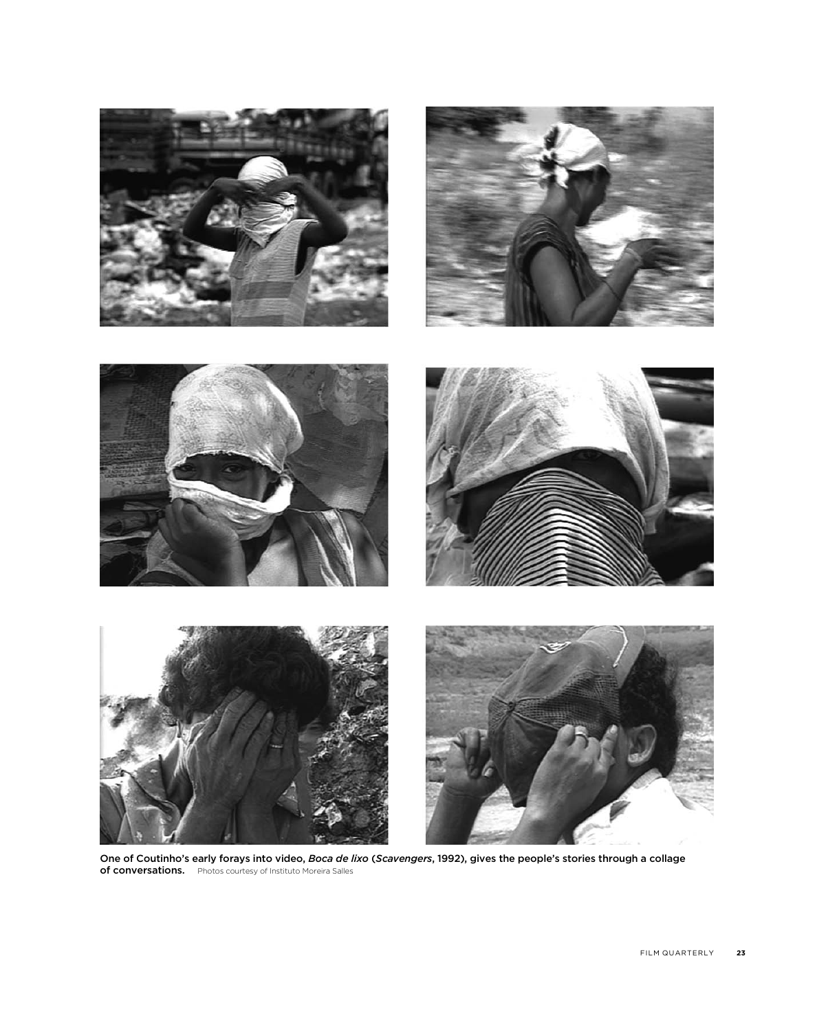

One of Coutinho's early forays into video, Boca de lixo (Scavengers, 1992), gives the people's stories through a collage of conversations. Photos courtesy of Instituto Moreira Salles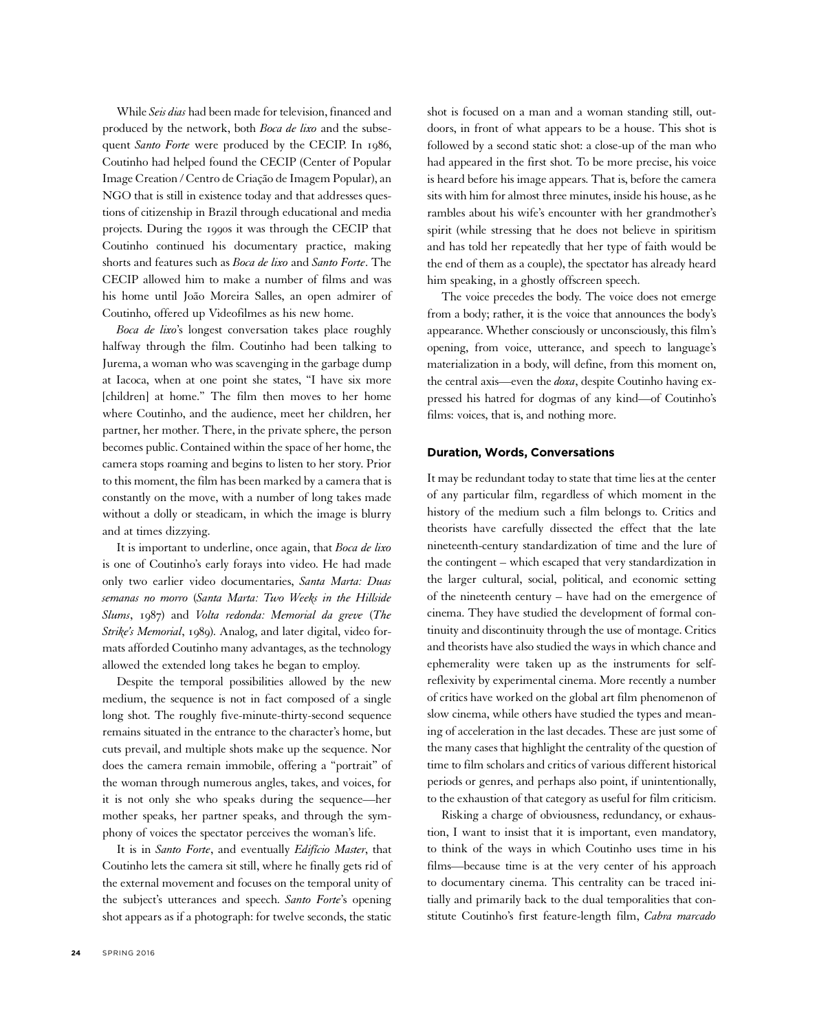While Seis dias had been made for television, financed and produced by the network, both Boca de lixo and the subsequent Santo Forte were produced by the CECIP. In 1986, Coutinho had helped found the CECIP (Center of Popular Image Creation / Centro de Criação de Imagem Popular), an NGO that is still in existence today and that addresses questions of citizenship in Brazil through educational and media projects. During the 1990s it was through the CECIP that Coutinho continued his documentary practice, making shorts and features such as Boca de lixo and Santo Forte. The CECIP allowed him to make a number of films and was his home until João Moreira Salles, an open admirer of Coutinho, offered up Videofilmes as his new home.

Boca de lixo's longest conversation takes place roughly halfway through the film. Coutinho had been talking to Jurema, a woman who was scavenging in the garbage dump at Iacoca, when at one point she states, "I have six more [children] at home." The film then moves to her home where Coutinho, and the audience, meet her children, her partner, her mother. There, in the private sphere, the person becomes public. Contained within the space of her home, the camera stops roaming and begins to listen to her story. Prior to this moment, the film has been marked by a camera that is constantly on the move, with a number of long takes made without a dolly or steadicam, in which the image is blurry and at times dizzying.

It is important to underline, once again, that Boca de lixo is one of Coutinho's early forays into video. He had made only two earlier video documentaries, Santa Marta: Duas semanas no morro (Santa Marta: Two Weeks in the Hillside Slums, 1987) and Volta redonda: Memorial da greve (The Strike's Memorial, 1989). Analog, and later digital, video formats afforded Coutinho many advantages, as the technology allowed the extended long takes he began to employ.

Despite the temporal possibilities allowed by the new medium, the sequence is not in fact composed of a single long shot. The roughly five-minute-thirty-second sequence remains situated in the entrance to the character's home, but cuts prevail, and multiple shots make up the sequence. Nor does the camera remain immobile, offering a "portrait" of the woman through numerous angles, takes, and voices, for it is not only she who speaks during the sequence—her mother speaks, her partner speaks, and through the symphony of voices the spectator perceives the woman's life.

It is in Santo Forte, and eventually Edifício Master, that Coutinho lets the camera sit still, where he finally gets rid of the external movement and focuses on the temporal unity of the subject's utterances and speech. Santo Forte's opening shot appears as if a photograph: for twelve seconds, the static

shot is focused on a man and a woman standing still, outdoors, in front of what appears to be a house. This shot is followed by a second static shot: a close-up of the man who had appeared in the first shot. To be more precise, his voice is heard before his image appears. That is, before the camera sits with him for almost three minutes, inside his house, as he rambles about his wife's encounter with her grandmother's spirit (while stressing that he does not believe in spiritism and has told her repeatedly that her type of faith would be the end of them as a couple), the spectator has already heard him speaking, in a ghostly offscreen speech.

The voice precedes the body. The voice does not emerge from a body; rather, it is the voice that announces the body's appearance. Whether consciously or unconsciously, this film's opening, from voice, utterance, and speech to language's materialization in a body, will define, from this moment on, the central axis—even the *doxa*, despite Coutinho having expressed his hatred for dogmas of any kind—of Coutinho's films: voices, that is, and nothing more.

### Duration, Words, Conversations

It may be redundant today to state that time lies at the center of any particular film, regardless of which moment in the history of the medium such a film belongs to. Critics and theorists have carefully dissected the effect that the late nineteenth-century standardization of time and the lure of the contingent – which escaped that very standardization in the larger cultural, social, political, and economic setting of the nineteenth century – have had on the emergence of cinema. They have studied the development of formal continuity and discontinuity through the use of montage. Critics and theorists have also studied the ways in which chance and ephemerality were taken up as the instruments for selfreflexivity by experimental cinema. More recently a number of critics have worked on the global art film phenomenon of slow cinema, while others have studied the types and meaning of acceleration in the last decades. These are just some of the many cases that highlight the centrality of the question of time to film scholars and critics of various different historical periods or genres, and perhaps also point, if unintentionally, to the exhaustion of that category as useful for film criticism.

Risking a charge of obviousness, redundancy, or exhaustion, I want to insist that it is important, even mandatory, to think of the ways in which Coutinho uses time in his films—because time is at the very center of his approach to documentary cinema. This centrality can be traced initially and primarily back to the dual temporalities that constitute Coutinho's first feature-length film, Cabra marcado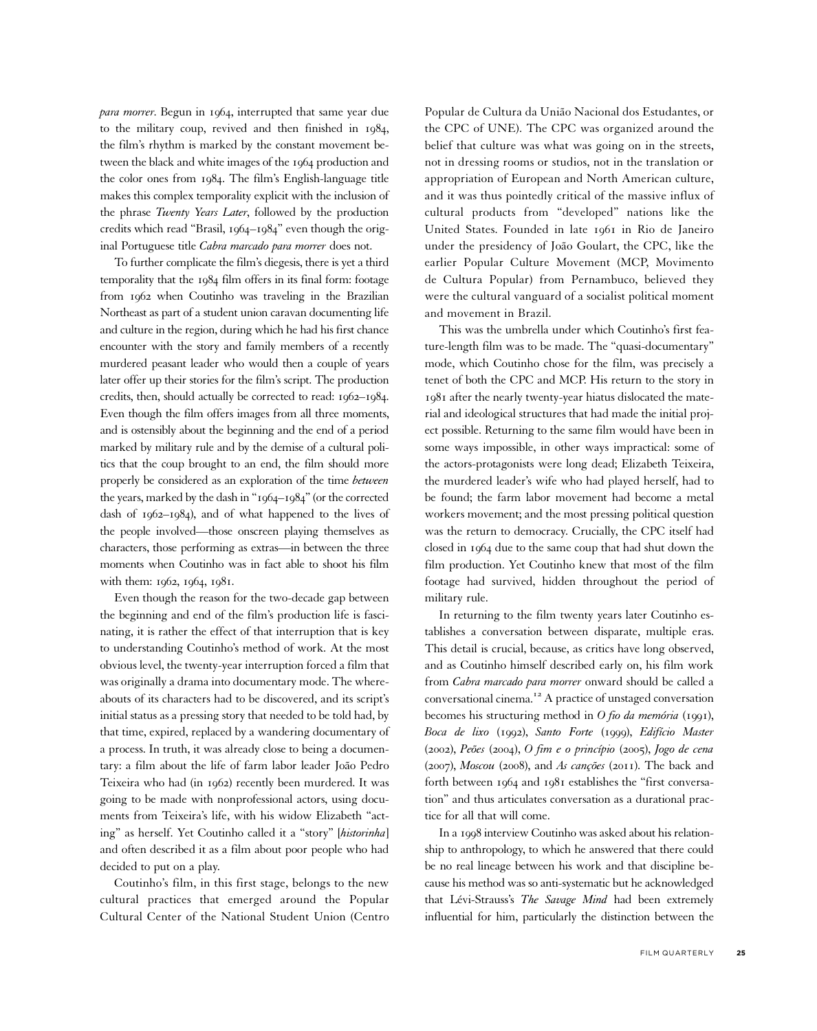*para morrer*. Begun in 1964, interrupted that same year due to the military coup, revived and then finished in 1984, the film's rhythm is marked by the constant movement between the black and white images of the 1964 production and the color ones from 1984. The film's English-language title makes this complex temporality explicit with the inclusion of the phrase Twenty Years Later, followed by the production credits which read "Brasil, 1964–1984" even though the original Portuguese title Cabra marcado para morrer does not.

To further complicate the film's diegesis, there is yet a third temporality that the 1984 film offers in its final form: footage from 1962 when Coutinho was traveling in the Brazilian Northeast as part of a student union caravan documenting life and culture in the region, during which he had his first chance encounter with the story and family members of a recently murdered peasant leader who would then a couple of years later offer up their stories for the film's script. The production credits, then, should actually be corrected to read: 1962–1984. Even though the film offers images from all three moments, and is ostensibly about the beginning and the end of a period marked by military rule and by the demise of a cultural politics that the coup brought to an end, the film should more properly be considered as an exploration of the time between the years, marked by the dash in "1964–1984" (or the corrected dash of 1962–1984), and of what happened to the lives of the people involved—those onscreen playing themselves as characters, those performing as extras—in between the three moments when Coutinho was in fact able to shoot his film with them: 1962, 1964, 1981.

Even though the reason for the two-decade gap between the beginning and end of the film's production life is fascinating, it is rather the effect of that interruption that is key to understanding Coutinho's method of work. At the most obvious level, the twenty-year interruption forced a film that was originally a drama into documentary mode. The whereabouts of its characters had to be discovered, and its script's initial status as a pressing story that needed to be told had, by that time, expired, replaced by a wandering documentary of a process. In truth, it was already close to being a documentary: a film about the life of farm labor leader João Pedro Teixeira who had (in 1962) recently been murdered. It was going to be made with nonprofessional actors, using documents from Teixeira's life, with his widow Elizabeth "acting" as herself. Yet Coutinho called it a "story" [historinha] and often described it as a film about poor people who had decided to put on a play.

Coutinho's film, in this first stage, belongs to the new cultural practices that emerged around the Popular Cultural Center of the National Student Union (Centro Popular de Cultura da União Nacional dos Estudantes, or the CPC of UNE). The CPC was organized around the belief that culture was what was going on in the streets, not in dressing rooms or studios, not in the translation or appropriation of European and North American culture, and it was thus pointedly critical of the massive influx of cultural products from "developed" nations like the United States. Founded in late 1961 in Rio de Janeiro under the presidency of João Goulart, the CPC, like the earlier Popular Culture Movement (MCP, Movimento de Cultura Popular) from Pernambuco, believed they were the cultural vanguard of a socialist political moment and movement in Brazil.

This was the umbrella under which Coutinho's first feature-length film was to be made. The "quasi-documentary" mode, which Coutinho chose for the film, was precisely a tenet of both the CPC and MCP. His return to the story in 1981 after the nearly twenty-year hiatus dislocated the material and ideological structures that had made the initial project possible. Returning to the same film would have been in some ways impossible, in other ways impractical: some of the actors-protagonists were long dead; Elizabeth Teixeira, the murdered leader's wife who had played herself, had to be found; the farm labor movement had become a metal workers movement; and the most pressing political question was the return to democracy. Crucially, the CPC itself had closed in 1964 due to the same coup that had shut down the film production. Yet Coutinho knew that most of the film footage had survived, hidden throughout the period of military rule.

In returning to the film twenty years later Coutinho establishes a conversation between disparate, multiple eras. This detail is crucial, because, as critics have long observed, and as Coutinho himself described early on, his film work from Cabra marcado para morrer onward should be called a conversational cinema.<sup>12</sup> A practice of unstaged conversation becomes his structuring method in O fio da memória (1991), Boca de lixo (1992), Santo Forte (1999), Edifício Master (2002), Peões (2004), O fim e o princípio (2005), Jogo de cena (2007), Moscou (2008), and As canções (2011). The back and forth between 1964 and 1981 establishes the "first conversation" and thus articulates conversation as a durational practice for all that will come.

In a 1998 interview Coutinho was asked about his relationship to anthropology, to which he answered that there could be no real lineage between his work and that discipline because his method was so anti-systematic but he acknowledged that Lévi-Strauss's The Savage Mind had been extremely influential for him, particularly the distinction between the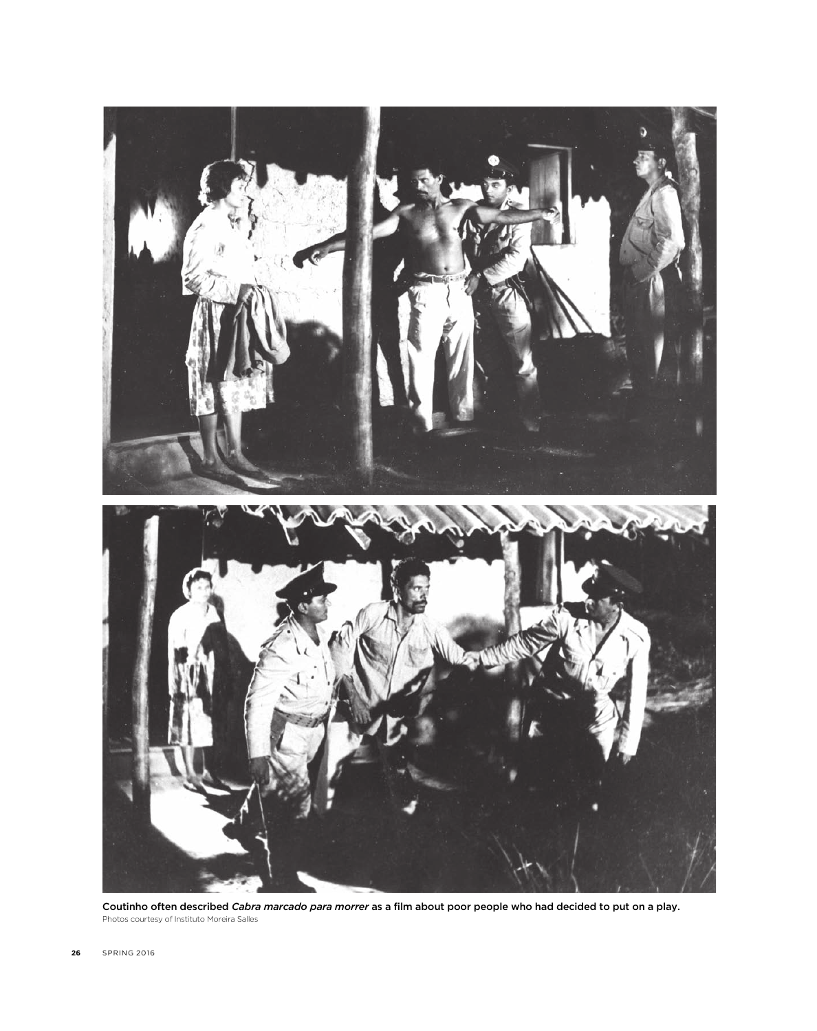

Coutinho often described Cabra marcado para morrer as a film about poor people who had decided to put on a play. Photos courtesy of Instituto Moreira Salles